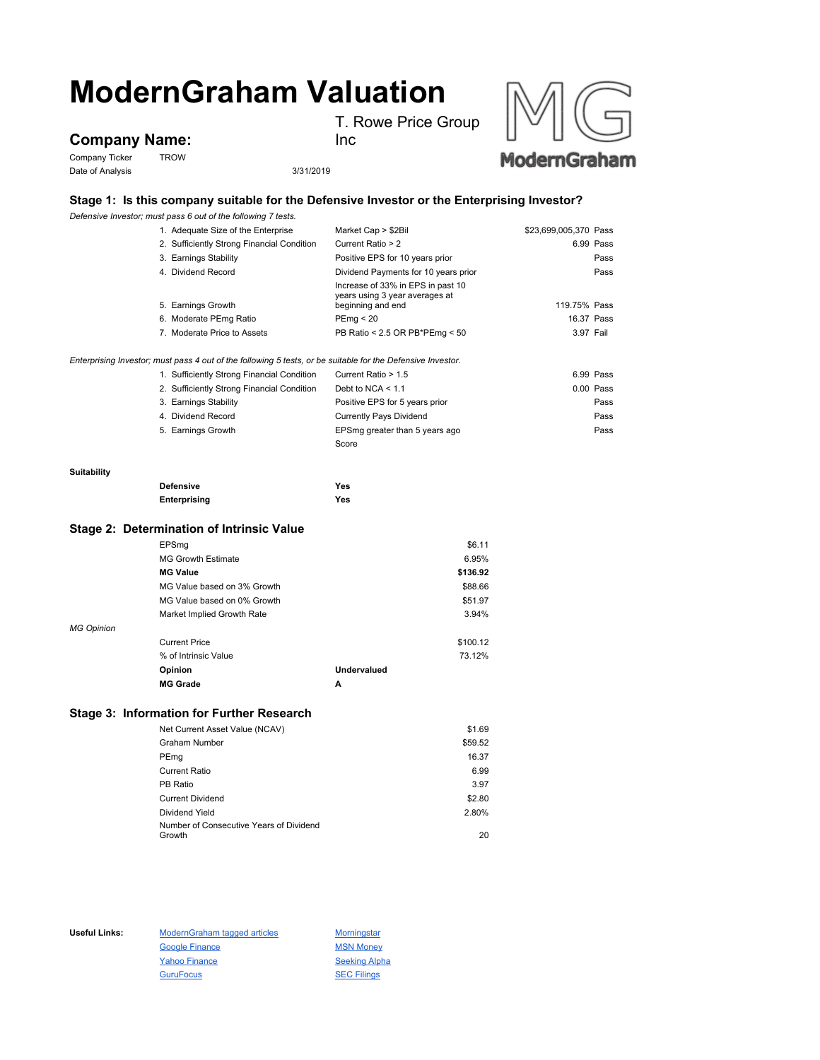# **ModernGraham Valuation**

T. Rowe Price Group

## **Company Name:**

Company Ticker TROW Date of Analysis 3/31/2019



Inc



### **Stage 1: Is this company suitable for the Defensive Investor or the Enterprising Investor?**

*Defensive Investor; must pass 6 out of the following 7 tests.*

|             | 1. Adequate Size of the Enterprise                                                                                                                        | Market Cap > \$2Bil                                                                      | \$23,699,005,370 Pass |
|-------------|-----------------------------------------------------------------------------------------------------------------------------------------------------------|------------------------------------------------------------------------------------------|-----------------------|
|             | 2. Sufficiently Strong Financial Condition                                                                                                                | Current Ratio > 2                                                                        | 6.99 Pass             |
|             | 3. Earnings Stability                                                                                                                                     | Positive EPS for 10 years prior                                                          | Pass                  |
|             | 4. Dividend Record                                                                                                                                        | Dividend Payments for 10 years prior                                                     | Pass                  |
|             | 5. Earnings Growth                                                                                                                                        | Increase of 33% in EPS in past 10<br>years using 3 year averages at<br>beginning and end | 119.75% Pass          |
|             | 6. Moderate PEmg Ratio                                                                                                                                    | PEmq < 20                                                                                | 16.37 Pass            |
|             | 7. Moderate Price to Assets                                                                                                                               | PB Ratio < 2.5 OR PB*PEmg < 50                                                           | 3.97 Fail             |
|             | Enterprising Investor; must pass 4 out of the following 5 tests, or be suitable for the Defensive Investor.<br>1. Sufficiently Strong Financial Condition | Current Ratio > 1.5                                                                      | 6.99 Pass             |
|             | 2. Sufficiently Strong Financial Condition                                                                                                                | Debt to NCA $<$ 1.1                                                                      | $0.00$ Pass           |
|             | 3. Earnings Stability                                                                                                                                     | Positive EPS for 5 years prior                                                           | Pass                  |
|             | 4. Dividend Record                                                                                                                                        | <b>Currently Pays Dividend</b>                                                           | Pass                  |
|             | 5. Earnings Growth                                                                                                                                        |                                                                                          | Pass                  |
|             |                                                                                                                                                           | EPSmg greater than 5 years ago<br>Score                                                  |                       |
|             |                                                                                                                                                           |                                                                                          |                       |
| Suitability |                                                                                                                                                           |                                                                                          |                       |
|             | <b>Defensive</b>                                                                                                                                          | <b>Yes</b>                                                                               |                       |
|             | Enterprising                                                                                                                                              | Yes                                                                                      |                       |
|             |                                                                                                                                                           |                                                                                          |                       |
|             | Stage 2: Determination of Intrinsic Value                                                                                                                 |                                                                                          |                       |
|             | EPSmg                                                                                                                                                     |                                                                                          | \$6.11                |
|             |                                                                                                                                                           |                                                                                          | - ----                |

|                   | <b>MG Growth Estimate</b>   |             | 6.95%    |
|-------------------|-----------------------------|-------------|----------|
|                   | <b>MG Value</b>             |             | \$136.92 |
|                   | MG Value based on 3% Growth |             | \$88.66  |
|                   | MG Value based on 0% Growth |             | \$51.97  |
|                   | Market Implied Growth Rate  |             | 3.94%    |
| <b>MG Opinion</b> |                             |             |          |
|                   | <b>Current Price</b>        |             | \$100.12 |
|                   | % of Intrinsic Value        |             | 73.12%   |
|                   | Opinion                     | Undervalued |          |
|                   | <b>MG Grade</b>             | A           |          |

#### **Stage 3: Information for Further Research**

| Net Current Asset Value (NCAV)          | \$1.69  |
|-----------------------------------------|---------|
| <b>Graham Number</b>                    | \$59.52 |
| PEmg                                    | 16.37   |
| Current Ratio                           | 6.99    |
| PB Ratio                                | 3.97    |
| <b>Current Dividend</b>                 | \$2.80  |
| Dividend Yield                          | 2.80%   |
| Number of Consecutive Years of Dividend |         |
| Growth                                  | 20      |

Useful Links: ModernGraham tagged articles Morningstar Google Finance MSN Money Yahoo Finance Seeking Alpha GuruFocus **SEC Filings**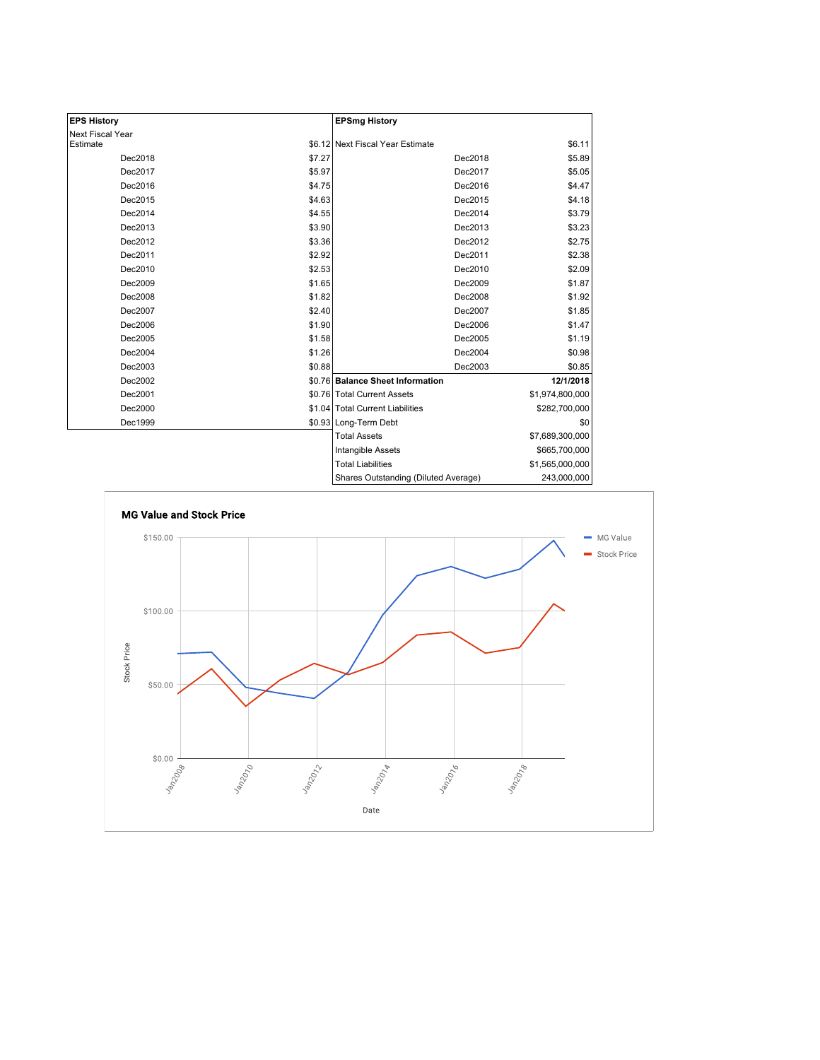| <b>EPS History</b> |        | <b>EPSmg History</b>                 |                 |
|--------------------|--------|--------------------------------------|-----------------|
| Next Fiscal Year   |        |                                      |                 |
| Estimate           |        | \$6.12 Next Fiscal Year Estimate     | \$6.11          |
| Dec2018            | \$7.27 | Dec2018                              | \$5.89          |
| Dec2017            | \$5.97 | Dec2017                              | \$5.05          |
| Dec2016            | \$4.75 | Dec2016                              | \$4.47          |
| Dec2015            | \$4.63 | Dec2015                              | \$4.18          |
| Dec2014            | \$4.55 | Dec2014                              | \$3.79          |
| Dec2013            | \$3.90 | Dec2013                              | \$3.23          |
| Dec2012            | \$3.36 | Dec2012                              | \$2.75          |
| Dec2011            | \$2.92 | Dec2011                              | \$2.38          |
| Dec2010            | \$2.53 | Dec2010                              | \$2.09          |
| Dec2009            | \$1.65 | Dec2009                              | \$1.87          |
| Dec2008            | \$1.82 | Dec2008                              | \$1.92          |
| Dec2007            | \$2.40 | Dec2007                              | \$1.85          |
| Dec2006            | \$1.90 | Dec2006                              | \$1.47          |
| Dec2005            | \$1.58 | Dec2005                              | \$1.19          |
| Dec2004            | \$1.26 | Dec2004                              | \$0.98          |
| Dec2003            | \$0.88 | Dec2003                              | \$0.85          |
| Dec2002            |        | \$0.76 Balance Sheet Information     | 12/1/2018       |
| Dec2001            |        | \$0.76 Total Current Assets          | \$1,974,800,000 |
| Dec2000            |        | \$1.04 Total Current Liabilities     | \$282,700,000   |
| Dec1999            |        | \$0.93 Long-Term Debt                | \$0             |
|                    |        | <b>Total Assets</b>                  | \$7,689,300,000 |
|                    |        | Intangible Assets                    | \$665,700,000   |
|                    |        | <b>Total Liabilities</b>             | \$1,565,000,000 |
|                    |        | Shares Outstanding (Diluted Average) | 243,000,000     |